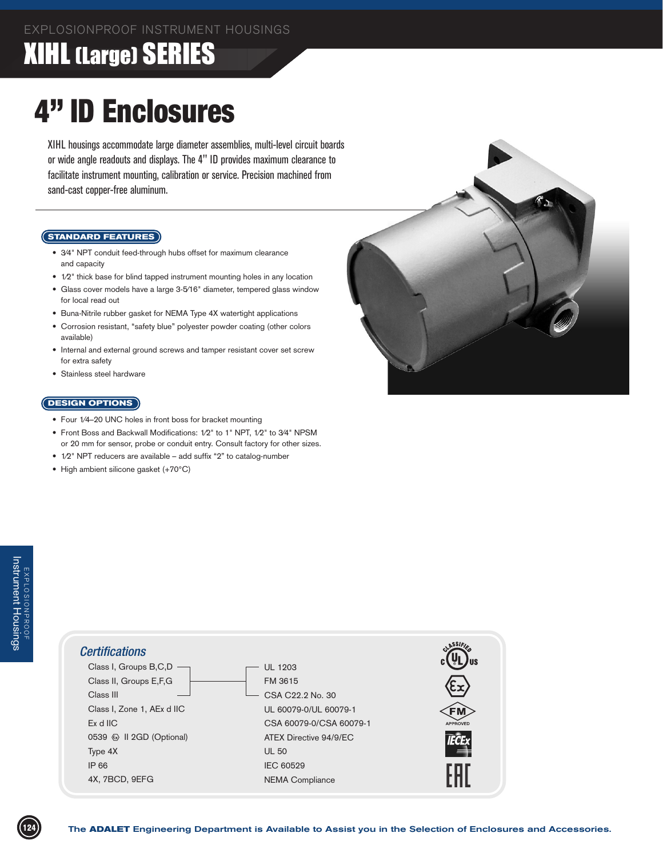## **XIHL (Large) SERIES**

# 4" ID Enclosures

XIHL housings accommodate large diameter assemblies, multi-level circuit boards or wide angle readouts and displays. The 4" ID provides maximum clearance to facilitate instrument mounting, calibration or service. Precision machined from sand-cast copper-free aluminum.

#### **STANDARD FEATURES**

- 3/4" NPT conduit feed-through hubs offset for maximum clearance and capacity
- 1/2" thick base for blind tapped instrument mounting holes in any location
- Glass cover models have a large 3-5/16" diameter, tempered glass window for local read out
- Buna-Nitrile rubber gasket for NEMA Type 4X watertight applications
- Corrosion resistant, "safety blue" polyester powder coating (other colors available)
- Internal and external ground screws and tamper resistant cover set screw for extra safety
- Stainless steel hardware

#### **DESIGN OPTIONS**

- Four 1⁄4–20 UNC holes in front boss for bracket mounting
- Front Boss and Backwall Modifications: 1/2" to 1" NPT, 1/2" to 3/4" NPSM or 20 mm for sensor, probe or conduit entry. Consult factory for other sizes.
- 1/2" NPT reducers are available add suffix "2" to catalog-number
- • High ambient silicone gasket (+70°C)



#### Certifications<br>
Class I, Groups B,C,D<br>
Class III (Soups E,F,G<br>
Class III (Soups E,F,G<br>
Class III (Soups E,F,G<br>
Class III (Soups E,F,G<br>
Class III (Soups E,F,G<br>
Class III (Soups A,K at IIC<br>
Class III (Soups A,K at IIC<br>
Clas UL 1203 FM 3615 CSA C22.2 No. 30 UL 60079-0/UL 60079-1 CSA 60079-0/CSA 60079-1 ATEX Directive 94/9/EC UL 50 IEC 60529 NEMA Compliance *Certifications* Class I, Groups B,C,D Class II, Groups E,F,G Class III Class I, Zone 1, AEx d IIC Ex d IIC 0539 & II 2GD (Optional) Type 4X IP 66 4X, 7BCD, 9EFG